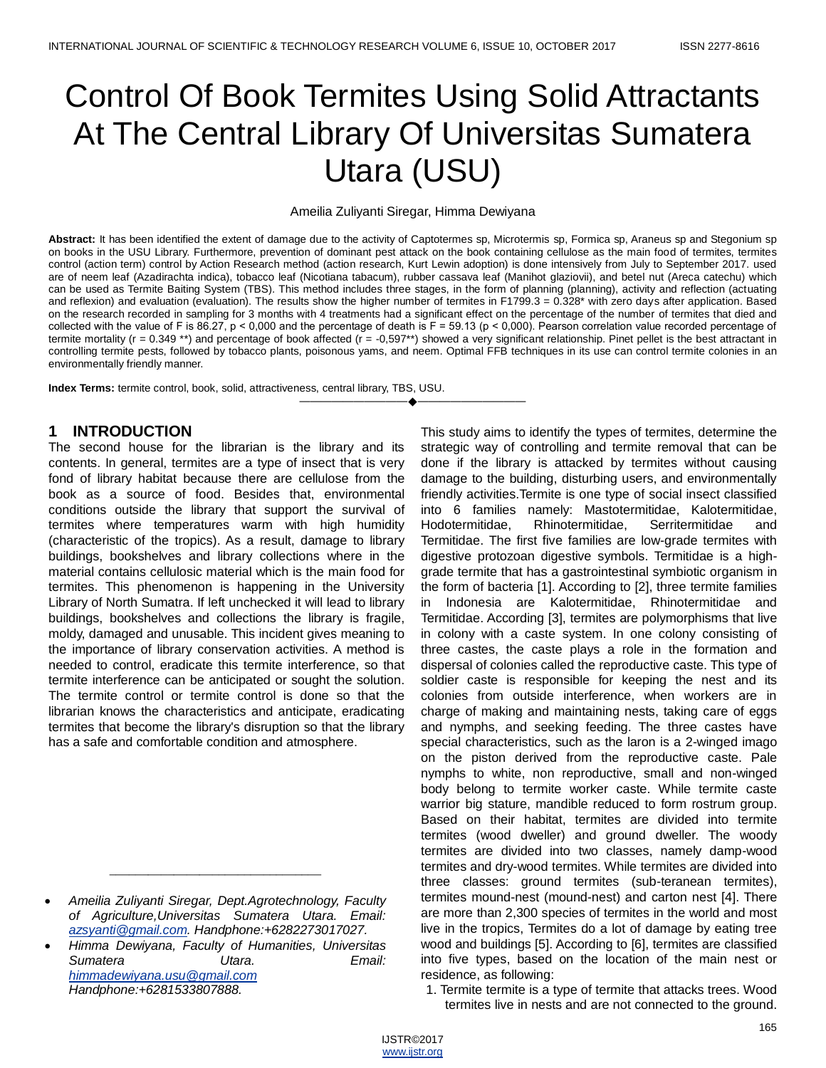# Control Of Book Termites Using Solid Attractants At The Central Library Of Universitas Sumatera Utara (USU)

#### Ameilia Zuliyanti Siregar, Himma Dewiyana

Abstract: It has been identified the extent of damage due to the activity of Captotermes sp, Microtermis sp, Formica sp, Araneus sp and Stegonium sp on books in the USU Library. Furthermore, prevention of dominant pest attack on the book containing cellulose as the main food of termites, termites control (action term) control by Action Research method (action research, Kurt Lewin adoption) is done intensively from July to September 2017. used are of neem leaf (Azadirachta indica), tobacco leaf (Nicotiana tabacum), rubber cassava leaf (Manihot glaziovii), and betel nut (Areca catechu) which can be used as Termite Baiting System (TBS). This method includes three stages, in the form of planning (planning), activity and reflection (actuating and reflexion) and evaluation (evaluation). The results show the higher number of termites in F1799.3 = 0.328\* with zero days after application. Based on the research recorded in sampling for 3 months with 4 treatments had a significant effect on the percentage of the number of termites that died and collected with the value of F is 86.27,  $p < 0,000$  and the percentage of death is F = 59.13 ( $p < 0,000$ ). Pearson correlation value recorded percentage of termite mortality (r = 0.349<sup>\*\*</sup>) and percentage of book affected (r = -0,597\*\*) showed a very significant relationship. Pinet pellet is the best attractant in controlling termite pests, followed by tobacco plants, poisonous yams, and neem. Optimal FFB techniques in its use can control termite colonies in an environmentally friendly manner.

————————————————————

**Index Terms:** termite control, book, solid, attractiveness, central library, TBS, USU.

# **1 INTRODUCTION**

The second house for the librarian is the library and its contents. In general, termites are a type of insect that is very fond of library habitat because there are cellulose from the book as a source of food. Besides that, environmental conditions outside the library that support the survival of termites where temperatures warm with high humidity (characteristic of the tropics). As a result, damage to library buildings, bookshelves and library collections where in the material contains cellulosic material which is the main food for termites. This phenomenon is happening in the University Library of North Sumatra. If left unchecked it will lead to library buildings, bookshelves and collections the library is fragile, moldy, damaged and unusable. This incident gives meaning to the importance of library conservation activities. A method is needed to control, eradicate this termite interference, so that termite interference can be anticipated or sought the solution. The termite control or termite control is done so that the librarian knows the characteristics and anticipate, eradicating termites that become the library's disruption so that the library has a safe and comfortable condition and atmosphere.

\_\_\_\_\_\_\_\_\_\_\_\_\_\_\_\_\_\_\_\_\_\_\_\_\_\_\_\_\_\_\_\_\_

This study aims to identify the types of termites, determine the strategic way of controlling and termite removal that can be done if the library is attacked by termites without causing damage to the building, disturbing users, and environmentally friendly activities.Termite is one type of social insect classified into 6 families namely: Mastotermitidae, Kalotermitidae, Hodotermitidae, Rhinotermitidae, Serritermitidae and Termitidae. The first five families are low-grade termites with digestive protozoan digestive symbols. Termitidae is a highgrade termite that has a gastrointestinal symbiotic organism in the form of bacteria [1]. According to [2], three termite families in Indonesia are Kalotermitidae, Rhinotermitidae and Termitidae. According [3], termites are polymorphisms that live in colony with a caste system. In one colony consisting of three castes, the caste plays a role in the formation and dispersal of colonies called the reproductive caste. This type of soldier caste is responsible for keeping the nest and its colonies from outside interference, when workers are in charge of making and maintaining nests, taking care of eggs and nymphs, and seeking feeding. The three castes have special characteristics, such as the laron is a 2-winged imago on the piston derived from the reproductive caste. Pale nymphs to white, non reproductive, small and non-winged body belong to termite worker caste. While termite caste warrior big stature, mandible reduced to form rostrum group. Based on their habitat, termites are divided into termite termites (wood dweller) and ground dweller. The woody termites are divided into two classes, namely damp-wood termites and dry-wood termites. While termites are divided into three classes: ground termites (sub-teranean termites), termites mound-nest (mound-nest) and carton nest [4]. There are more than 2,300 species of termites in the world and most live in the tropics, Termites do a lot of damage by eating tree wood and buildings [5]. According to [6], termites are classified into five types, based on the location of the main nest or residence, as following:

1. Termite termite is a type of termite that attacks trees. Wood termites live in nests and are not connected to the ground.

*Ameilia Zuliyanti Siregar, Dept.Agrotechnology, Faculty of Agriculture,Universitas Sumatera Utara. Email: [azsyanti@gmail.com.](mailto:azsyanti@gmail.com) Handphone:+6282273017027.*

*Himma Dewiyana, Faculty of Humanities, Universitas Sumatera Utara. Email: [himmadewiyana.usu@gmail.com](mailto:himmadewiyana.usu@gmail.com) Handphone:+6281533807888.*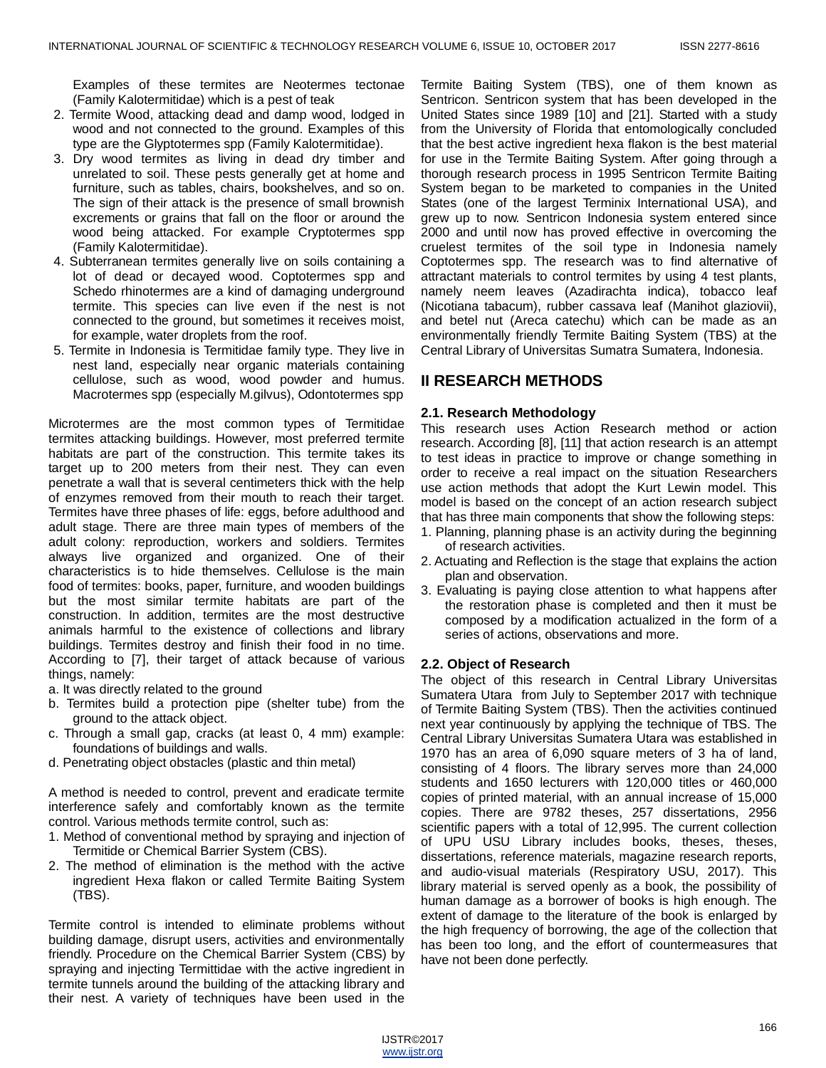Examples of these termites are Neotermes tectonae (Family Kalotermitidae) which is a pest of teak

- 2. Termite Wood, attacking dead and damp wood, lodged in wood and not connected to the ground. Examples of this type are the Glyptotermes spp (Family Kalotermitidae).
- 3. Dry wood termites as living in dead dry timber and unrelated to soil. These pests generally get at home and furniture, such as tables, chairs, bookshelves, and so on. The sign of their attack is the presence of small brownish excrements or grains that fall on the floor or around the wood being attacked. For example Cryptotermes spp (Family Kalotermitidae).
- 4. Subterranean termites generally live on soils containing a lot of dead or decayed wood. Coptotermes spp and Schedo rhinotermes are a kind of damaging underground termite. This species can live even if the nest is not connected to the ground, but sometimes it receives moist, for example, water droplets from the roof.
- 5. Termite in Indonesia is Termitidae family type. They live in nest land, especially near organic materials containing cellulose, such as wood, wood powder and humus. Macrotermes spp (especially M.gilvus), Odontotermes spp

Microtermes are the most common types of Termitidae termites attacking buildings. However, most preferred termite habitats are part of the construction. This termite takes its target up to 200 meters from their nest. They can even penetrate a wall that is several centimeters thick with the help of enzymes removed from their mouth to reach their target. Termites have three phases of life: eggs, before adulthood and adult stage. There are three main types of members of the adult colony: reproduction, workers and soldiers. Termites always live organized and organized. One of their characteristics is to hide themselves. Cellulose is the main food of termites: books, paper, furniture, and wooden buildings but the most similar termite habitats are part of the construction. In addition, termites are the most destructive animals harmful to the existence of collections and library buildings. Termites destroy and finish their food in no time. According to [7], their target of attack because of various things, namely:

- a. It was directly related to the ground
- b. Termites build a protection pipe (shelter tube) from the ground to the attack object.
- c. Through a small gap, cracks (at least 0, 4 mm) example: foundations of buildings and walls.
- d. Penetrating object obstacles (plastic and thin metal)

A method is needed to control, prevent and eradicate termite interference safely and comfortably known as the termite control. Various methods termite control, such as:

- 1. Method of conventional method by spraying and injection of Termitide or Chemical Barrier System (CBS).
- 2. The method of elimination is the method with the active ingredient Hexa flakon or called Termite Baiting System (TBS).

Termite control is intended to eliminate problems without building damage, disrupt users, activities and environmentally friendly. Procedure on the Chemical Barrier System (CBS) by spraying and injecting Termittidae with the active ingredient in termite tunnels around the building of the attacking library and their nest. A variety of techniques have been used in the

Termite Baiting System (TBS), one of them known as Sentricon. Sentricon system that has been developed in the United States since 1989 [10] and [21]. Started with a study from the University of Florida that entomologically concluded that the best active ingredient hexa flakon is the best material for use in the Termite Baiting System. After going through a thorough research process in 1995 Sentricon Termite Baiting System began to be marketed to companies in the United States (one of the largest Terminix International USA), and grew up to now. Sentricon Indonesia system entered since 2000 and until now has proved effective in overcoming the cruelest termites of the soil type in Indonesia namely Coptotermes spp. The research was to find alternative of attractant materials to control termites by using 4 test plants, namely neem leaves (Azadirachta indica), tobacco leaf (Nicotiana tabacum), rubber cassava leaf (Manihot glaziovii), and betel nut (Areca catechu) which can be made as an environmentally friendly Termite Baiting System (TBS) at the Central Library of Universitas Sumatra Sumatera, Indonesia.

# **II RESEARCH METHODS**

## **2.1. Research Methodology**

This research uses Action Research method or action research. According [8], [11] that action research is an attempt to test ideas in practice to improve or change something in order to receive a real impact on the situation Researchers use action methods that adopt the Kurt Lewin model. This model is based on the concept of an action research subject that has three main components that show the following steps:

- 1. Planning, planning phase is an activity during the beginning of research activities.
- 2. Actuating and Reflection is the stage that explains the action plan and observation.
- 3. Evaluating is paying close attention to what happens after the restoration phase is completed and then it must be composed by a modification actualized in the form of a series of actions, observations and more.

## **2.2. Object of Research**

The object of this research in Central Library Universitas Sumatera Utara from July to September 2017 with technique of Termite Baiting System (TBS). Then the activities continued next year continuously by applying the technique of TBS. The Central Library Universitas Sumatera Utara was established in 1970 has an area of 6,090 square meters of 3 ha of land, consisting of 4 floors. The library serves more than 24,000 students and 1650 lecturers with 120,000 titles or 460,000 copies of printed material, with an annual increase of 15,000 copies. There are 9782 theses, 257 dissertations, 2956 scientific papers with a total of 12,995. The current collection of UPU USU Library includes books, theses, theses, dissertations, reference materials, magazine research reports, and audio-visual materials (Respiratory USU, 2017). This library material is served openly as a book, the possibility of human damage as a borrower of books is high enough. The extent of damage to the literature of the book is enlarged by the high frequency of borrowing, the age of the collection that has been too long, and the effort of countermeasures that have not been done perfectly.

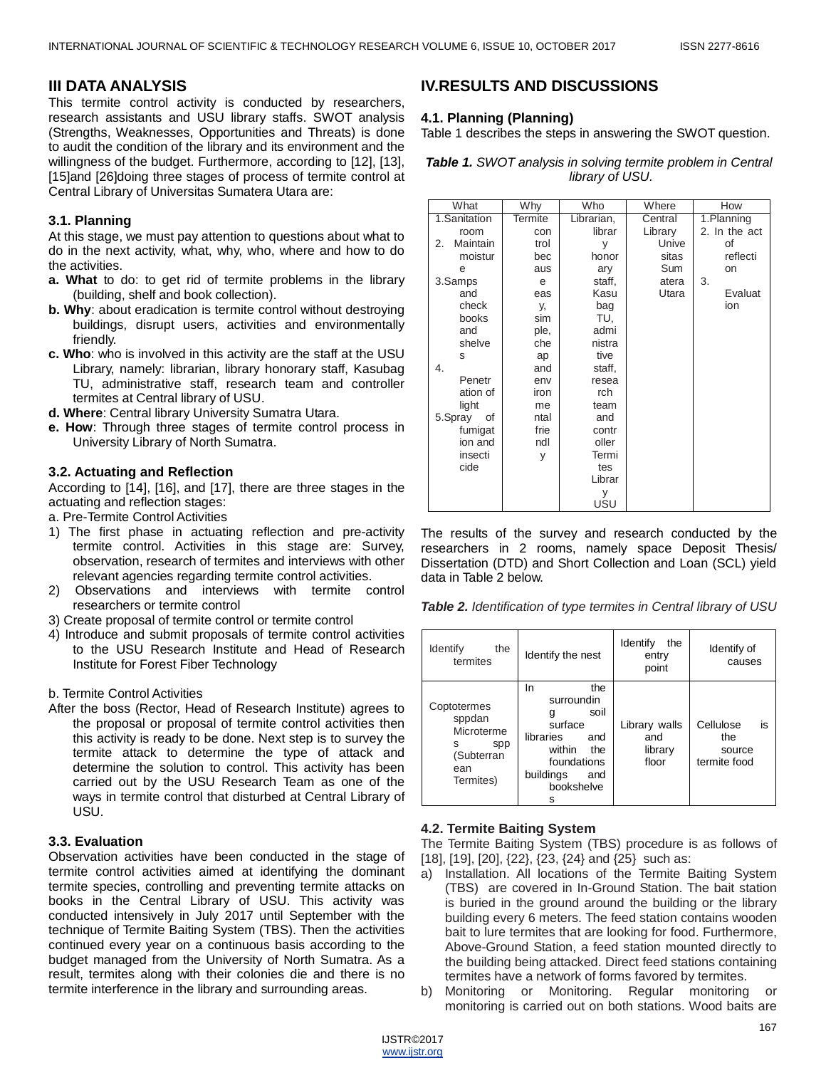## **III DATA ANALYSIS**

This termite control activity is conducted by researchers, research assistants and USU library staffs. SWOT analysis (Strengths, Weaknesses, Opportunities and Threats) is done to audit the condition of the library and its environment and the willingness of the budget. Furthermore, according to [12], [13], [15]and [26]doing three stages of process of termite control at Central Library of Universitas Sumatera Utara are:

## **3.1. Planning**

At this stage, we must pay attention to questions about what to do in the next activity, what, why, who, where and how to do the activities.

- **a. What** to do: to get rid of termite problems in the library (building, shelf and book collection).
- **b. Why**: about eradication is termite control without destroying buildings, disrupt users, activities and environmentally friendly.
- **c. Who**: who is involved in this activity are the staff at the USU Library, namely: librarian, library honorary staff, Kasubag TU, administrative staff, research team and controller termites at Central library of USU.
- **d. Where**: Central library University Sumatra Utara.
- **e. How**: Through three stages of termite control process in University Library of North Sumatra.

## **3.2. Actuating and Reflection**

According to [14], [16], and [17], there are three stages in the actuating and reflection stages:

- a. Pre-Termite Control Activities
- 1) The first phase in actuating reflection and pre-activity termite control. Activities in this stage are: Survey, observation, research of termites and interviews with other relevant agencies regarding termite control activities.
- 2) Observations and interviews with termite control researchers or termite control
- 3) Create proposal of termite control or termite control
- 4) Introduce and submit proposals of termite control activities to the USU Research Institute and Head of Research Institute for Forest Fiber Technology

#### b. Termite Control Activities

After the boss (Rector, Head of Research Institute) agrees to the proposal or proposal of termite control activities then this activity is ready to be done. Next step is to survey the termite attack to determine the type of attack and determine the solution to control. This activity has been carried out by the USU Research Team as one of the ways in termite control that disturbed at Central Library of USU.

## **3.3. Evaluation**

Observation activities have been conducted in the stage of termite control activities aimed at identifying the dominant termite species, controlling and preventing termite attacks on books in the Central Library of USU. This activity was conducted intensively in July 2017 until September with the technique of Termite Baiting System (TBS). Then the activities continued every year on a continuous basis according to the budget managed from the University of North Sumatra. As a result, termites along with their colonies die and there is no termite interference in the library and surrounding areas.

# **IV.RESULTS AND DISCUSSIONS**

## **4.1. Planning (Planning)**

Table 1 describes the steps in answering the SWOT question.

*Table 1. SWOT analysis in solving termite problem in Central library of USU.*

| What           | Why     | Who        | Where   | How           |  |  |
|----------------|---------|------------|---------|---------------|--|--|
| 1.Sanitation   | Termite | Librarian, | Central | 1.Planning    |  |  |
| room           | con     | librar     | Library | 2. In the act |  |  |
| Maintain<br>2. | trol    | y          | Unive   | οf            |  |  |
| moistur        | bec     | honor      | sitas   | reflecti      |  |  |
| e              | aus     | ary        | Sum     | on            |  |  |
| 3.Samps        | e       | staff,     | atera   | 3.            |  |  |
| and            | eas     | Kasu       | Utara   | Evaluat       |  |  |
| check          | у,      | bag        |         | ion           |  |  |
| books          | sim     | TU.        |         |               |  |  |
| and            | ple,    | admi       |         |               |  |  |
| shelve         | che     | nistra     |         |               |  |  |
| S              | ap      | tive       |         |               |  |  |
| 4.             | and     | staff,     |         |               |  |  |
| Penetr         | env     | resea      |         |               |  |  |
| ation of       | iron    | rch        |         |               |  |  |
| light          | me      | team       |         |               |  |  |
| 5.Spray<br>οf  | ntal    | and        |         |               |  |  |
| fumigat        | frie    | contr      |         |               |  |  |
| ion and        | ndl     | oller      |         |               |  |  |
| insecti        | y       | Termi      |         |               |  |  |
| cide           |         | tes        |         |               |  |  |
|                |         | Librar     |         |               |  |  |
|                |         | У          |         |               |  |  |
|                |         | USU        |         |               |  |  |

The results of the survey and research conducted by the researchers in 2 rooms, namely space Deposit Thesis/ Dissertation (DTD) and Short Collection and Loan (SCL) yield data in Table 2 below.

*Table 2. Identification of type termites in Central library of USU*

| <b>Identify</b><br>the<br>termites                                                | Identify the nest                                                                                                                           | <b>Identify</b><br>the<br>entry<br>point | Identify of<br>causes                            |
|-----------------------------------------------------------------------------------|---------------------------------------------------------------------------------------------------------------------------------------------|------------------------------------------|--------------------------------------------------|
| Coptotermes<br>sppdan<br>Microterme<br>s<br>spp<br>(Subterran<br>ean<br>Termites) | the<br>In.<br>surroundin<br>soil<br>g<br>surface<br>libraries<br>and<br>within<br>the<br>foundations<br>buildings<br>and<br>bookshelve<br>s | Library walls<br>and<br>library<br>floor | Cellulose<br>is<br>the<br>source<br>termite food |

## **4.2. Termite Baiting System**

The Termite Baiting System (TBS) procedure is as follows of [18], [19], [20], {22}, {23, {24} and {25} such as:

- a) Installation. All locations of the Termite Baiting System (TBS) are covered in In-Ground Station. The bait station is buried in the ground around the building or the library building every 6 meters. The feed station contains wooden bait to lure termites that are looking for food. Furthermore, Above-Ground Station, a feed station mounted directly to the building being attacked. Direct feed stations containing termites have a network of forms favored by termites.
- b) Monitoring or Monitoring. Regular monitoring or monitoring is carried out on both stations. Wood baits are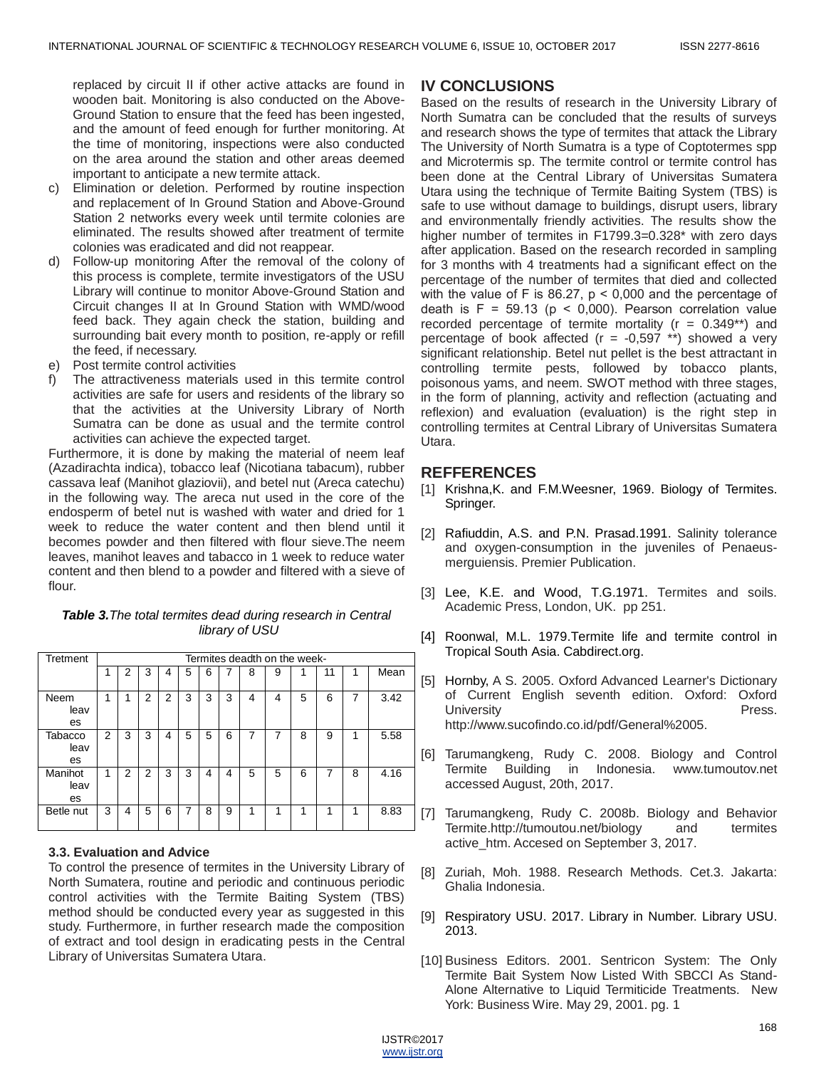replaced by circuit II if other active attacks are found in wooden bait. Monitoring is also conducted on the Above-Ground Station to ensure that the feed has been ingested, and the amount of feed enough for further monitoring. At the time of monitoring, inspections were also conducted on the area around the station and other areas deemed important to anticipate a new termite attack.

- c) Elimination or deletion. Performed by routine inspection and replacement of In Ground Station and Above-Ground Station 2 networks every week until termite colonies are eliminated. The results showed after treatment of termite colonies was eradicated and did not reappear.
- d) Follow-up monitoring After the removal of the colony of this process is complete, termite investigators of the USU Library will continue to monitor Above-Ground Station and Circuit changes II at In Ground Station with WMD/wood feed back. They again check the station, building and surrounding bait every month to position, re-apply or refill the feed, if necessary.
- e) Post termite control activities
- f) The attractiveness materials used in this termite control activities are safe for users and residents of the library so that the activities at the University Library of North Sumatra can be done as usual and the termite control activities can achieve the expected target.

Furthermore, it is done by making the material of neem leaf (Azadirachta indica), tobacco leaf (Nicotiana tabacum), rubber cassava leaf (Manihot glaziovii), and betel nut (Areca catechu) in the following way. The areca nut used in the core of the endosperm of betel nut is washed with water and dried for 1 week to reduce the water content and then blend until it becomes powder and then filtered with flour sieve.The neem leaves, manihot leaves and tabacco in 1 week to reduce water content and then blend to a powder and filtered with a sieve of flour.

#### *Table 3.The total termites dead during research in Central library of USU*

| Tretment              | Termites deadth on the week- |                |   |   |   |   |   |   |   |   |    |   |      |
|-----------------------|------------------------------|----------------|---|---|---|---|---|---|---|---|----|---|------|
|                       |                              | $\overline{2}$ | 3 | 4 | 5 | 6 |   | 8 | 9 |   | 11 | 1 | Mean |
|                       |                              |                |   |   |   |   |   |   |   |   |    |   |      |
| Neem<br>leav<br>es    |                              |                | 2 | 2 | 3 | 3 | 3 | 4 | 4 | 5 | 6  | 7 | 3.42 |
| Tabacco<br>leav<br>es | 2                            | 3              | 3 | 4 | 5 | 5 | 6 | 7 | 7 | 8 | 9  | 1 | 5.58 |
| Manihot<br>leav<br>es |                              | $\mathcal{P}$  | 2 | 3 | 3 | 4 | 4 | 5 | 5 | 6 | 7  | 8 | 4.16 |
| Betle nut             | 3                            | 4              | 5 | 6 | 7 | 8 | 9 | 1 | 1 | 1 | 1  | 1 | 8.83 |

## **3.3. Evaluation and Advice**

To control the presence of termites in the University Library of North Sumatera, routine and periodic and continuous periodic control activities with the Termite Baiting System (TBS) method should be conducted every year as suggested in this study. Furthermore, in further research made the composition of extract and tool design in eradicating pests in the Central Library of Universitas Sumatera Utara.

# **IV CONCLUSIONS**

Based on the results of research in the University Library of North Sumatra can be concluded that the results of surveys and research shows the type of termites that attack the Library The University of North Sumatra is a type of Coptotermes spp and Microtermis sp. The termite control or termite control has been done at the Central Library of Universitas Sumatera Utara using the technique of Termite Baiting System (TBS) is safe to use without damage to buildings, disrupt users, library and environmentally friendly activities. The results show the higher number of termites in F1799.3=0.328\* with zero days after application. Based on the research recorded in sampling for 3 months with 4 treatments had a significant effect on the percentage of the number of termites that died and collected with the value of F is 86.27,  $p < 0,000$  and the percentage of death is  $F = 59.13$  ( $p < 0.000$ ). Pearson correlation value recorded percentage of termite mortality ( $r = 0.349**$ ) and percentage of book affected ( $r = -0.597$  \*\*) showed a very significant relationship. Betel nut pellet is the best attractant in controlling termite pests, followed by tobacco plants, poisonous yams, and neem. SWOT method with three stages, in the form of planning, activity and reflection (actuating and reflexion) and evaluation (evaluation) is the right step in controlling termites at Central Library of Universitas Sumatera Utara.

# **REFFERENCES**

- [1] Krishna, K. and F.M. Weesner, 1969. Biology of Termites. Springer.
- [2] Rafiuddin, A.S. and P.N. Prasad.1991. Salinity tolerance and oxygen-consumption in the juveniles of Penaeusmerguiensis. Premier Publication.
- [3] Lee, K.E. and Wood, T.G.1971. Termites and soils. [Academic Press, London, UK.](https://www.cabdirect.org/cabdirect/search/?q=do%3a%22Termites+and+soils.+London%2c+UK%2c+Academic+Press.%22) pp 251.
- [4] Roonwal, M.L. 1979. Termite life and termite control in Tropical South Asia. Cabdirect.org.
- [5] Hornby, A S. 2005. Oxford Advanced Learner's Dictionary of Current English seventh edition. Oxford: Oxford University **Press.** http://www.sucofindo.co.id/pdf/General%2005.
- [6] Tarumangkeng, Rudy C. 2008. Biology and Control Termite Building in Indonesia. www.tumoutov.net accessed August, 20th, 2017.
- [7] Tarumangkeng, Rudy C. 2008b. Biology and Behavior Termite.http://tumoutou.net/biology and termites active\_htm. Accesed on September 3, 2017.
- [8] Zuriah, Moh. 1988. Research Methods. Cet.3. Jakarta: Ghalia Indonesia.
- [9] Respiratory USU. 2017. Library in Number. Library USU. 2013.
- [10] Business Editors. 2001. Sentricon System: The Only Termite Bait System Now Listed With SBCCI As Stand-Alone Alternative to Liquid Termiticide Treatments. New York: Business Wire. May 29, 2001. pg. 1